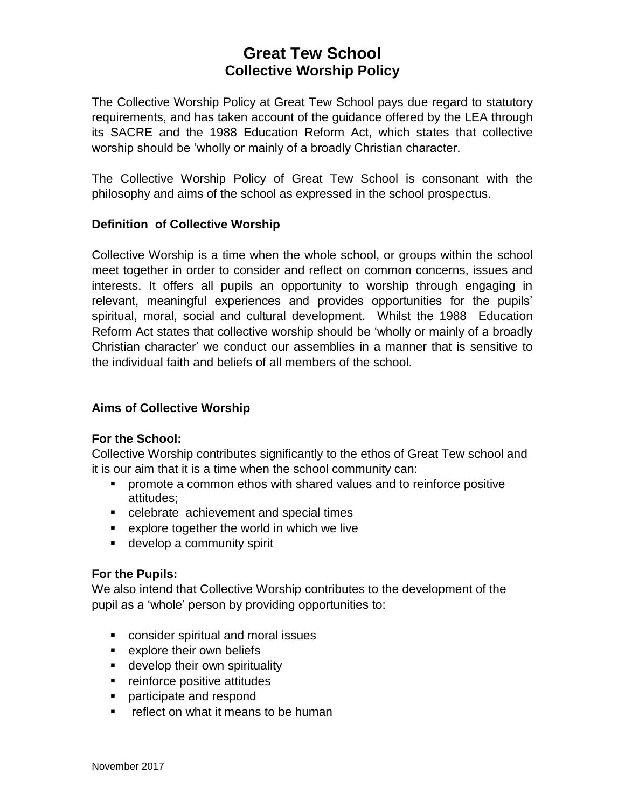# **Great Tew School Collective Worship Policy**

The Collective Worship Policy at Great Tew School pays due regard to statutory requirements, and has taken account of the guidance offered by the LEA through its SACRE and the 1988 Education Reform Act, which states that collective worship should be 'wholly or mainly of a broadly Christian character.

The Collective Worship Policy of Great Tew School is consonant with the philosophy and aims of the school as expressed in the school prospectus.

### **Definition of Collective Worship**

Collective Worship is a time when the whole school, or groups within the school meet together in order to consider and reflect on common concerns, issues and interests. It offers all pupils an opportunity to worship through engaging in relevant, meaningful experiences and provides opportunities for the pupils' spiritual, moral, social and cultural development. Whilst the 1988 Education Reform Act states that collective worship should be 'wholly or mainly of a broadly Christian character' we conduct our assemblies in a manner that is sensitive to the individual faith and beliefs of all members of the school.

## **Aims of Collective Worship**

#### **For the School:**

Collective Worship contributes significantly to the ethos of Great Tew school and it is our aim that it is a time when the school community can:

- promote a common ethos with shared values and to reinforce positive attitudes;
- celebrate achievement and special times
- explore together the world in which we live
- develop a community spirit

#### **For the Pupils:**

We also intend that Collective Worship contributes to the development of the pupil as a 'whole' person by providing opportunities to:

- consider spiritual and moral issues
- explore their own beliefs
- develop their own spirituality
- reinforce positive attitudes
- participate and respond
- reflect on what it means to be human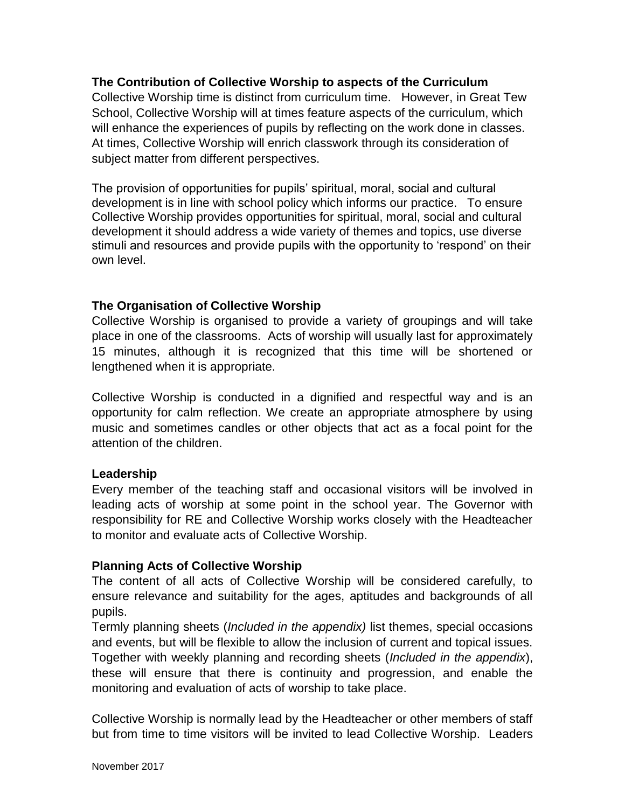### **The Contribution of Collective Worship to aspects of the Curriculum**

Collective Worship time is distinct from curriculum time. However, in Great Tew School, Collective Worship will at times feature aspects of the curriculum, which will enhance the experiences of pupils by reflecting on the work done in classes. At times, Collective Worship will enrich classwork through its consideration of subject matter from different perspectives.

The provision of opportunities for pupils' spiritual, moral, social and cultural development is in line with school policy which informs our practice. To ensure Collective Worship provides opportunities for spiritual, moral, social and cultural development it should address a wide variety of themes and topics, use diverse stimuli and resources and provide pupils with the opportunity to 'respond' on their own level.

### **The Organisation of Collective Worship**

Collective Worship is organised to provide a variety of groupings and will take place in one of the classrooms. Acts of worship will usually last for approximately 15 minutes, although it is recognized that this time will be shortened or lengthened when it is appropriate.

Collective Worship is conducted in a dignified and respectful way and is an opportunity for calm reflection. We create an appropriate atmosphere by using music and sometimes candles or other objects that act as a focal point for the attention of the children.

#### **Leadership**

Every member of the teaching staff and occasional visitors will be involved in leading acts of worship at some point in the school year. The Governor with responsibility for RE and Collective Worship works closely with the Headteacher to monitor and evaluate acts of Collective Worship.

#### **Planning Acts of Collective Worship**

The content of all acts of Collective Worship will be considered carefully, to ensure relevance and suitability for the ages, aptitudes and backgrounds of all pupils.

Termly planning sheets (*Included in the appendix)* list themes, special occasions and events, but will be flexible to allow the inclusion of current and topical issues. Together with weekly planning and recording sheets (*Included in the appendix*), these will ensure that there is continuity and progression, and enable the monitoring and evaluation of acts of worship to take place.

Collective Worship is normally lead by the Headteacher or other members of staff but from time to time visitors will be invited to lead Collective Worship. Leaders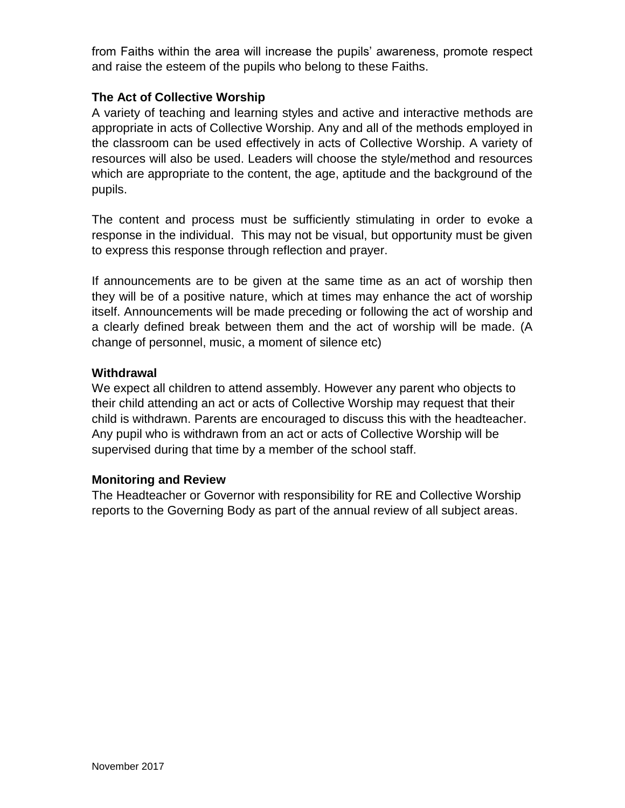from Faiths within the area will increase the pupils' awareness, promote respect and raise the esteem of the pupils who belong to these Faiths.

## **The Act of Collective Worship**

A variety of teaching and learning styles and active and interactive methods are appropriate in acts of Collective Worship. Any and all of the methods employed in the classroom can be used effectively in acts of Collective Worship. A variety of resources will also be used. Leaders will choose the style/method and resources which are appropriate to the content, the age, aptitude and the background of the pupils.

The content and process must be sufficiently stimulating in order to evoke a response in the individual. This may not be visual, but opportunity must be given to express this response through reflection and prayer.

If announcements are to be given at the same time as an act of worship then they will be of a positive nature, which at times may enhance the act of worship itself. Announcements will be made preceding or following the act of worship and a clearly defined break between them and the act of worship will be made. (A change of personnel, music, a moment of silence etc)

## **Withdrawal**

We expect all children to attend assembly. However any parent who objects to their child attending an act or acts of Collective Worship may request that their child is withdrawn. Parents are encouraged to discuss this with the headteacher. Any pupil who is withdrawn from an act or acts of Collective Worship will be supervised during that time by a member of the school staff.

## **Monitoring and Review**

The Headteacher or Governor with responsibility for RE and Collective Worship reports to the Governing Body as part of the annual review of all subject areas.